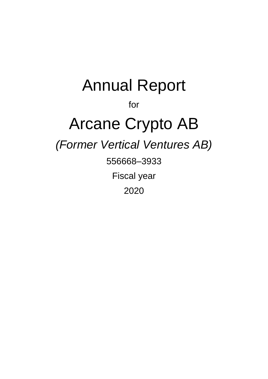# Annual Report for Arcane Crypto AB *(Former Vertical Ventures AB)* 556668–3933 Fiscal year 2020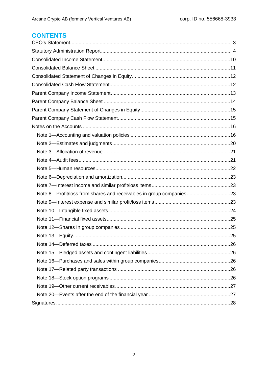# **CONTENTS**

| Note 8-Profit/loss from shares and receivables in group companies23 |  |
|---------------------------------------------------------------------|--|
|                                                                     |  |
|                                                                     |  |
|                                                                     |  |
|                                                                     |  |
|                                                                     |  |
|                                                                     |  |
|                                                                     |  |
|                                                                     |  |
|                                                                     |  |
|                                                                     |  |
|                                                                     |  |
|                                                                     |  |
|                                                                     |  |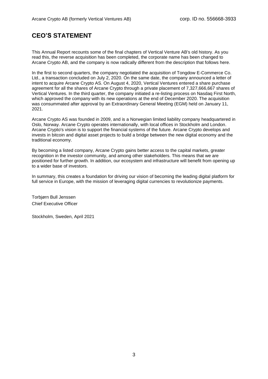# **CEO'S STATEMENT**

This Annual Report recounts some of the final chapters of Vertical Venture AB's old history. As you read this, the reverse acquisition has been completed, the corporate name has been changed to Arcane Crypto AB, and the company is now radically different from the description that follows here.

In the first to second quarters, the company negotiated the acquisition of Tongdow E-Commerce Co. Ltd., a transaction concluded on July 2, 2020. On the same date, the company announced a letter of intent to acquire Arcane Crypto AS. On August 4, 2020, Vertical Ventures entered a share purchase agreement for all the shares of Arcane Crypto through a private placement of 7,327,666,667 shares of Vertical Ventures. In the third quarter, the company initiated a re-listing process on Nasdaq First North, which approved the company with its new operations at the end of December 2020. The acquisition was consummated after approval by an Extraordinary General Meeting (EGM) held on January 11, 2021.

Arcane Crypto AS was founded in 2009, and is a Norwegian limited liability company headquartered in Oslo, Norway. Arcane Crypto operates internationally, with local offices in Stockholm and London. Arcane Crypto's vision is to support the financial systems of the future. Arcane Crypto develops and invests in bitcoin and digital asset projects to build a bridge between the new digital economy and the traditional economy.

By becoming a listed company, Arcane Crypto gains better access to the capital markets, greater recognition in the investor community, and among other stakeholders. This means that we are positioned for further growth. In addition, our ecosystem and infrastructure will benefit from opening up to a wider base of investors.

In summary, this creates a foundation for driving our vision of becoming the leading digital platform for full service in Europe, with the mission of leveraging digital currencies to revolutionize payments.

Torbjørn Bull Jenssen Chief Executive Officer

Stockholm, Sweden, April 2021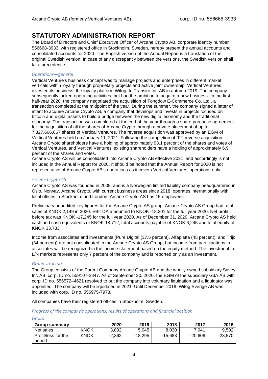# **STATUTORY ADMINISTRATION REPORT**

The Board of Directors and Chief Executive Officer of Arcane Crypto AB, corporate identity number 556668-3933, with registered office in Stockholm, Sweden, hereby present the annual accounts and consolidated accounts for 2020. The English version of the Annual Report is a translation of the original Swedish version. In case of any discrepancy between the versions, the Swedish version shall take precedence.

#### *Operations—general*

Vertical Venture's business concept was to manage projects and enterprises in different market verticals within loyalty through proprietary projects and active joint ownership. Vertical Ventures divested its business, the loyalty platform Wifog, to Transiro Int. AB in autumn 2019. The company subsequently lacked operating activities, but had the ambition to acquire a new business. In the first half-year 2020, the company negotiated the acquisition of Tongdow E-Commerce Co. Ltd., a transaction completed at the midpoint of the year. During the summer, the company signed a letter of intent to acquire Arcane Crypto AS, a company that develops and invests in projects focused on bitcoin and digital assets to build a bridge between the new digital economy and the traditional economy. The transaction was completed at the end of the year through a share purchase agreement for the acquisition of all the shares of Arcane Crypto through a private placement of up to 7,327,666,667 shares of Vertical Ventures. The reverse acquisition was approved by an EGM of Vertical Ventures held on January 11, 2021. Following the completion of the reverse acquisition, Arcane Crypto shareholders have a holding of approximately 93.1 percent of the shares and votes of Vertical Ventures, and Vertical Ventures' existing shareholders have a holding of approximately 6.9 percent of the shares and votes.

Arcane Crypto AS will be consolidated into Arcane Crypto AB effective 2021, and accordingly is not included in the Annual Report for 2020. It should be noted that the Annual Report for 2020 is not representative of Arcane Crypto AB's operations as it covers Vertical Ventures' operations only.

#### *Arcane Crypto AS*

Arcane Crypto AS was founded in 2009, and is a Norwegian limited liability company headquartered in Oslo, Norway. Arcane Crypto, with current business areas since 2018, operates internationally with local offices in Stockholm and London. Arcane Crypto AS has 15 employees.

Preliminary unaudited key figures for the Arcane Crypto AS group: Arcane Crypto AS Group had total sales of KNOK 2,149 in 2020. EBITDA amounted to KNOK -18,201 for the full year 2020. Net profit before tax was KNOK -17,245 for the full year 2020. As of December 31, 2020, Arcane Crypto AS held cash and cash equivalents of KNOK 18,712, total accounts payable of KNOK 6,245 and total equity of KNOK 33,733.

Income from associates and investments (Pure Digital (37.5 percent), Alfaplatta (45 percent), and Trijo (34 percent)) are not consolidated in the Arcane Crypto AS Group, but income from participations in associates will be recognized in the income statement based on the equity method. The investment in L/N markets represents only 7 percent of the company and is reported only as an investment.

#### *Group structure*

The Group consists of the Parent Company Arcane Crypto AB and the wholly owned subsidiary Savey Int. AB, corp. ID no. 559107-2847. As of September 30, 2020, the EGM of the subsidiary G3A AB with corp. ID no. 556572–4621 resolved to put the company into voluntary liquidation and a liquidator was appointed. The company will be liquidated in 2021. Until December 2019, Wifog Sverige AB was included with corp. ID no. 556975-7973.

All companies have their registered offices in Stockholm, Sweden.

#### *Progress of the company's operations, results of operations and financial position*

| ٠ | ı |  |
|---|---|--|

| <b>Group summary</b>          |             | 2020     | 2019      | 2018    | 2017      | 2016      |
|-------------------------------|-------------|----------|-----------|---------|-----------|-----------|
| Net sales                     | <b>KNOK</b> | 3.002    | 5.045     | 8.030   | 7.941     | 9.502     |
| Profit/loss for the<br>period | <b>KNOK</b> | $-2.362$ | $-18.295$ | -15.683 | $-20.606$ | $-23,570$ |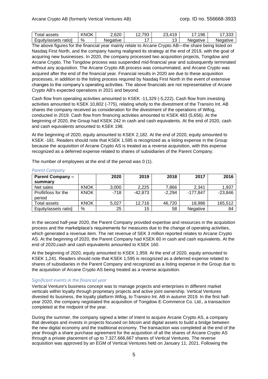| otal<br>assets          | ∖I∩K<br>$\cdot$ .<br>M<br>'N.<br>◡ | con<br>∪∠0.∠ | 70٦<br>$\sim$<br>ື<br>. <u>.</u> . | $\Lambda$ 10<br>ົ<br>- 14<br>-- | 96<br>$\overline{\phantom{0}}$ | $\sim$<br>. –<br>.vv. |
|-------------------------|------------------------------------|--------------|------------------------------------|---------------------------------|--------------------------------|-----------------------|
| ratiol<br>Equity/assets | %                                  | Negative     | _                                  | -<br>. v                        | Negative                       | Negative              |

The above figures for the financial year mainly relate to Arcane Crypto AB—the share being listed on Nasdaq First North, and the company having realigned its strategy at the end of 2019, with the goal of acquiring new businesses. In 2020, the company processed two acquisition projects, Tongdow and Arcane Crypto. The Tongdow process was suspended mid-financial year and subsequently terminated without any acquisition. The Arcane Crypto AB process was consummated, and Arcane Crypto was acquired after the end of the financial year. Financial results in 2020 are due to these acquisition processes, in addition to the listing process required by Nasdaq First North in the event of extensive changes to the company's operating activities. The above financials are not representative of Arcane Crypto AB's expected operations in 2021 and beyond.

Cash flow from operating activities amounted to KSEK -11,329 (-5,222). Cash flow from investing activities amounted to KSEK 10,802 (-775), relating wholly to the divestment of the Transiro Int. AB shares the company received as consideration for the divestment of the operations of Wifog, conducted in 2019. Cash flow from financing activities amounted to KSEK 483 (5,656). At the beginning of 2020, the Group had KSEK 242 in cash and cash equivalents. At the end of 2020, cash and cash equivalents amounted to KSEK 198.

At the beginning of 2020, equity amounted to KSEK 2,182. At the end of 2020, equity amounted to KSEK -181. Readers should note that KSEK 1,595 is recognized as a listing expense in the Group because the acquisition of Arcane Crypto AS is treated as a reverse acquisition, with this expense recognized as a deferred expense related to shares of subsidiaries of the Parent Company.

The number of employees at the end of the period was 0 (1).

| <b>Parent Company -</b><br>summary |             | 2020   | 2019      | 2018     | 2017       | 2016      |
|------------------------------------|-------------|--------|-----------|----------|------------|-----------|
| Net sales                          | <b>KNOK</b> | 3,000  | 2.225     | 7.866    | 2.341      | 1,937     |
| Profit/loss for the<br>period      | <b>KNOK</b> | $-718$ | $-42,873$ | $-2,294$ | $-177.847$ | $-23,846$ |
| Total assets                       | <b>KNOK</b> | 5,027  | 12,716    | 46,720   | 18,986     | 165,512   |
| Equity/assets ratio]               | $\%$        | 25     | 15        | 58       | Negative   | 84        |

*Parent Company*

In the second half-year 2020, the Parent Company provided expertise and resources in the acquisition process and the marketplace's requirements for measures due to the change of operating activities, which generated a revenue item. The net revenue of SEK 3 million reported relates to Arcane Crypto AS. At the beginning of 2020, the Parent Company had KSEK 60 in cash and cash equivalents. At the end of 2020,cash and cash equivalents amounted to KSEK 160.

At the beginning of 2020, equity amounted to KSEK 1,959. At the end of 2020, equity amounted to KSEK 1,241. Readers should note that KSEK 1,595 is recognized as a deferred expense related to shares of subsidiaries in the Parent Company and recognized as a listing expense in the Group due to the acquisition of Arcane Crypto AS being treated as a reverse acquisition.

#### *Significant events in the financial year*

Vertical Venture's business concept was to manage projects and enterprises in different market verticals within loyalty through proprietary projects and active joint ownership. Vertical Ventures divested its business, the loyalty platform Wifog, to Transiro Int. AB in autumn 2019. In the first halfyear 2020, the company negotiated the acquisition of Tongdow E-Commerce Co. Ltd., a transaction completed at the midpoint of the year.

During the summer, the company signed a letter of intent to acquire Arcane Crypto AS, a company that develops and invests in projects focused on bitcoin and digital assets to build a bridge between the new digital economy and the traditional economy. The transaction was completed at the end of the year through a share purchase agreement for the acquisition of all the shares of Arcane Crypto AS through a private placement of up to 7,327,666,667 shares of Vertical Ventures. The reverse acquisition was approved by an EGM of Vertical Ventures held on January 11, 2021. Following the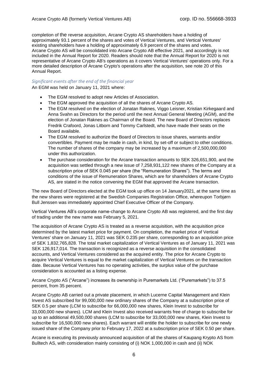completion of the reverse acquisition, Arcane Crypto AS shareholders have a holding of approximately 93.1 percent of the shares and votes of Vertical Ventures, and Vertical Ventures' existing shareholders have a holding of approximately 6.9 percent of the shares and votes. Arcane Crypto AS will be consolidated into Arcane Crypto AB effective 2021, and accordingly is not included in the Annual Report for 2020. Readers should note that the Annual Report for 2020 is not representative of Arcane Crypto AB's operations as it covers Vertical Ventures' operations only. For a more detailed description of Arcane Crypto's operations after the acquisition, see note 20 of this Annual Report.

#### *Significant events after the end of the financial year*

An EGM was held on January 11, 2021 where:

- The EGM resolved to adopt new Articles of Association.
- The EGM approved the acquisition of all the shares of Arcane Crypto AS.
- The EGM resolved on the election of Jonatan Raknes, Viggo Leisner, Kristian Kirkegaard and Anna Svahn as Directors for the period until the next Annual General Meeting (AGM), and the election of Jonatan Raknes as Chairman of the Board. The new Board of Directors replaces Fredrik Crafoord, Jonas Litborn and Tommy Carlstedt, who have made their seats on the Board available.
- The EGM resolved to authorize the Board of Directors to issue shares, warrants and/or convertibles. Payment may be made in cash, in kind, by set-off or subject to other conditions. The number of shares of the company may be increased by a maximum of 2,500,000,000 under this authorization.
- The purchase consideration for the Arcane transaction amounts to SEK 326,651,900, and the acquisition was settled through a new issue of 7,258,931,122 new shares of the Company at a subscription price of SEK 0.045 per share (the "Remuneration Shares"). The terms and conditions of the issue of Remuneration Shares, which are for shareholders of Arcane Crypto AS, are stated in the notice convening the EGM that approved the Arcane transaction.

The new Board of Directors elected at the EGM took up office on 14 January2021, at the same time as the new shares were registered at the Swedish Companies Registration Office, whereupon Torbjørn Bull Jenssen was immediately appointed Chief Executive Officer of the Company.

Vertical Ventures AB's corporate name-change to Arcane Crypto AB was registered, and the first day of trading under the new name was February 5, 2021.

The acquisition of Arcane Crypto AS is treated as a reverse acquisition, with the acquisition price determined by the latest market price for payment. On completion, the market price of Vertical Ventures' share on January 11, 2021 was SEK 0.235 per share, corresponding to an acquisition price of SEK 1,832,765,828. The total market capitalization of Vertical Ventures as of January 11, 2021 was SEK 126,917,014. The transaction is recognized as a reverse acquisition in the consolidated accounts, and Vertical Ventures considered as the acquired entity. The price for Arcane Crypto to acquire Vertical Ventures is equal to the market capitalization of Vertical Ventures on the transaction date. Because Vertical Ventures has no operating activities, the surplus value of the purchase consideration is accounted as a listing expense.

Arcane Crypto AS ("Arcane") increases its ownership in Puremarkets Ltd. ("Puremarkets") to 37.5 percent, from 35 percent.

Arcane Crypto AB carried out a private placement, in which Lucerne Capital Management and Klein Invest AS subscribed for 99,000,000 new ordinary shares of the Company at a subscription price of SEK 0.5 per share (LCM to subscribe for 66,000,000 new shares, Klein Invest to subscribe for 33,000,000 new shares). LCM and Klein Invest also received warrants free of charge to subscribe for up to an additional 49,500,000 shares (LCM to subscribe for 33,000,000 new shares, Klein Invest to subscribe for 16,500,000 new shares). Each warrant will entitle the holder to subscribe for one newly issued share of the Company prior to February 17, 2022 at a subscription price of SEK 0.50 per share.

Arcane is executing its previously announced acquisition of all the shares of Kaupang Krypto AS from Bulltech AS, with consideration mainly consisting of (i) NOK 1,000,000 in cash and (ii) NOK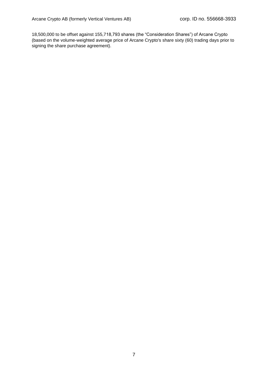18,500,000 to be offset against 155,718,793 shares (the "Consideration Shares") of Arcane Crypto (based on the volume-weighted average price of Arcane Crypto's share sixty (60) trading days prior to signing the share purchase agreement).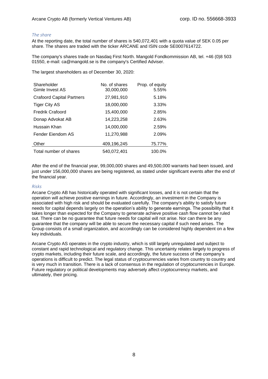#### *The share*

At the reporting date, the total number of shares is 540,072,401 with a quota value of SEK 0.05 per share. The shares are traded with the ticker ARCANE and ISIN code SE0007614722.

The company's shares trade on Nasdaq First North. Mangold Fondkommission AB, tel. +46 (0)8 503 01550, e-mail: ca@mangold.se is the company's Certified Adviser.

The largest shareholders as of December 30, 2020:

| Shareholder<br>Gimle Invest AS   | No. of shares<br>30,000,000 | Prop. of equity<br>5.55% |
|----------------------------------|-----------------------------|--------------------------|
| <b>Crafoord Capital Partners</b> | 27,981,910                  | 5.18%                    |
| <b>Tiger City AS</b>             | 18,000,000                  | 3.33%                    |
| <b>Fredrik Crafoord</b>          | 15,400,000                  | 2.85%                    |
| Donap Advokat AB                 | 14,223,258                  | 2.63%                    |
| Hussain Khan                     | 14,000,000                  | 2.59%                    |
| Fender Eiendom AS                | 11,270,988                  | 2.09%                    |
| Other                            | 409,196,245                 | 75.77%                   |
| Total number of shares           | 540.072.401                 | 100.0%                   |

After the end of the financial year, 99,000,000 shares and 49,500,000 warrants had been issued, and just under 156,000,000 shares are being registered, as stated under significant events after the end of the financial year.

#### *Risks*

Arcane Crypto AB has historically operated with significant losses, and it is not certain that the operation will achieve positive earnings in future. Accordingly, an investment in the Company is associated with high risk and should be evaluated carefully. The company's ability to satisfy future needs for capital depends largely on the operation's ability to generate earnings. The possibility that it takes longer than expected for the Company to generate achieve positive cash flow cannot be ruled out. There can be no guarantee that future needs for capital will not arise. Nor can there be any guarantee that the company will be able to secure the necessary capital if such need arises. The Group consists of a small organization, and accordingly can be considered highly dependent on a few key individuals.

Arcane Crypto AS operates in the crypto industry, which is still largely unregulated and subject to constant and rapid technological and regulatory change. This uncertainty relates largely to progress of crypto markets, including their future scale, and accordingly, the future success of the company's operations is difficult to predict. The legal status of cryptocurrencies varies from country to country and is very much in transition. There is a lack of consensus in the regulation of cryptocurrencies in Europe. Future regulatory or political developments may adversely affect cryptocurrency markets, and ultimately, their pricing.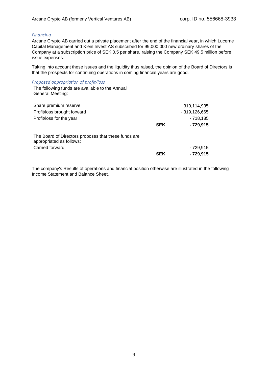#### *Financing*

Arcane Crypto AB carried out a private placement after the end of the financial year, in which Lucerne Capital Management and Klein Invest AS subscribed for 99,000,000 new ordinary shares of the Company at a subscription price of SEK 0.5 per share, raising the Company SEK 49.5 million before issue expenses.

Taking into account these issues and the liquidity thus raised, the opinion of the Board of Directors is that the prospects for continuing operations in coming financial years are good.

#### *Proposed appropriation of profit/loss*

The following funds are available to the Annual General Meeting:

| Share premium reserve<br>Profit/loss brought forward<br>Profit/loss for the year                    | <b>SEK</b> | 319,114,935<br>$-319,126,665$<br>- 718,185<br>$-729,915$ |
|-----------------------------------------------------------------------------------------------------|------------|----------------------------------------------------------|
| The Board of Directors proposes that these funds are<br>appropriated as follows:<br>Carried forward | <b>SEK</b> | - 729,915<br>- 729,915                                   |

The company's Results of operations and financial position otherwise are illustrated in the following Income Statement and Balance Sheet.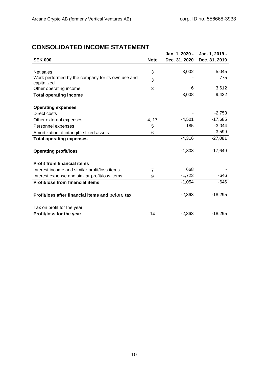# **CONSOLIDATED INCOME STATEMENT**

|                                                                  |                | Jan. 1, 2020 - | Jan. 1, 2019 - |
|------------------------------------------------------------------|----------------|----------------|----------------|
| <b>SEK 000</b>                                                   | <b>Note</b>    | Dec. 31, 2020  | Dec. 31, 2019  |
|                                                                  |                |                |                |
| Net sales                                                        | 3              | 3,002          | 5,045          |
| Work performed by the company for its own use and<br>capitalized | 3              |                | 775            |
| Other operating income                                           | 3              | 6              | 3,612          |
| <b>Total operating income</b>                                    |                | 3,008          | 9,432          |
|                                                                  |                |                |                |
| <b>Operating expenses</b>                                        |                |                |                |
| Direct costs                                                     |                |                | $-2,753$       |
| Other external expenses                                          | 4, 17          | $-4,501$       | $-17,685$      |
| Personnel expenses                                               | 5              | 185            | $-3,044$       |
| Amortization of intangible fixed assets                          | 6              |                | $-3,599$       |
| <b>Total operating expenses</b>                                  |                | $-4,316$       | $-27,081$      |
| <b>Operating profit/loss</b>                                     |                | $-1,308$       | $-17,649$      |
| <b>Profit from financial items</b>                               |                |                |                |
| Interest income and similar profit/loss items                    | $\overline{7}$ | 668            |                |
| Interest expense and similar profit/loss items                   | 9              | $-1,723$       | $-646$         |
| <b>Profit/loss from financial items</b>                          |                | $-1,054$       | $-646$         |
|                                                                  |                |                |                |
| Profit/loss after financial items and before tax                 |                | $-2,363$       | $-18,295$      |
| Tax on profit for the year                                       |                |                |                |
| Profit/loss for the year                                         | 14             | $-2,363$       | $-18,295$      |
|                                                                  |                |                |                |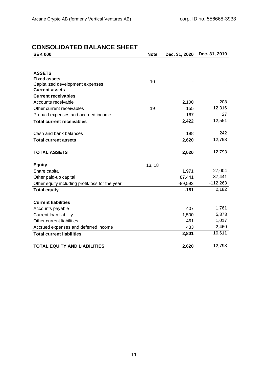# **CONSOLIDATED BALANCE SHEET**

| <b>Note</b> | Dec. 31, 2020 | Dec. 31, 2019 |
|-------------|---------------|---------------|
|             |               |               |
|             |               |               |
|             |               |               |
|             |               |               |
|             |               |               |
|             |               |               |
|             | 2,100         | 208           |
| 19          | 155           | 12,316        |
|             | 167           | 27            |
|             | 2,422         | 12,551        |
|             |               |               |
|             | 198           | 242           |
|             | 2,620         | 12,793        |
|             |               |               |
|             | 2,620         | 12,793        |
|             |               |               |
| 13, 18      |               |               |
|             | 1,971         | 27,004        |
|             | 87,441        | 87,441        |
|             | $-89,593$     | $-112,263$    |
|             | $-181$        | 2,182         |
|             |               |               |
|             |               |               |
|             | 407           | 1,761         |
|             | 1,500         | 5,373         |
|             | 461           | 1,017         |
|             | 433           | 2,460         |
|             | 2,801         | 10,611        |
|             |               |               |
|             | 10            |               |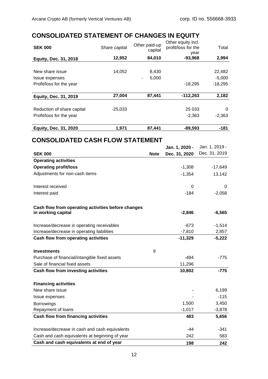# **CONSOLIDATED STATEMENT OF CHANGES IN EQUITY**

| <b>Equity, Dec. 31, 2020</b> | 1.971         | 87,441                   | $-89,593$                                         | $-181$    |
|------------------------------|---------------|--------------------------|---------------------------------------------------|-----------|
| Profit/loss for the year     |               |                          | $-2,363$                                          | $-2,363$  |
| Reduction of share capital   | $-25,033$     |                          | 25 0 33                                           | 0         |
| <b>Equity, Dec. 31, 2019</b> | 27,004        | 87,441                   | $-112,263$                                        | 2,182     |
| Profit/loss for the year     |               |                          | $-18.295$                                         | $-18,295$ |
| <b>Issue expenses</b>        |               | 5,000                    |                                                   | $-5,000$  |
|                              |               |                          |                                                   |           |
| New share issue              | 14,052        | 8,430                    |                                                   | 22,482    |
| <b>Equity, Dec. 31, 2018</b> | 12,952        | 84,010                   | $-93,968$                                         | 2,994     |
| <b>SEK 000</b>               | Share capital | Other paid-up<br>capital | Other equity incl.<br>profit/loss for the<br>year | Total     |

# **CONSOLIDATED CASH FLOW STATEMENT**

|                                                                          |             | Jan. 1, 2020 - | Jan. 1, 2019 - |
|--------------------------------------------------------------------------|-------------|----------------|----------------|
| <b>SEK 000</b>                                                           | <b>Note</b> | Dec. 31, 2020  | Dec. 31, 2019  |
| <b>Operating activities</b>                                              |             |                |                |
| <b>Operating profit/loss</b>                                             |             | $-1,308$       | $-17,649$      |
| Adjustments for non-cash items                                           |             | $-1,354$       | 13,142         |
| Interest received                                                        |             | 0              | 0              |
| Interest paid                                                            |             | $-184$         | $-2,058$       |
| Cash flow from operating activities before changes<br>in working capital |             | $-2,846$       | $-6,565$       |
| Increase/decrease in operating receivables                               |             | $-673$         | $-1,514$       |
| Increase/decrease in operating liabilities                               |             | $-7,810$       | 2,857          |
| <b>Cash flow from operating activities</b>                               |             | $-11,329$      | $-5,222$       |
| <b>Investments</b>                                                       | 9           |                |                |
| Purchase of financial/intangible fixed assets                            |             | $-494$         | $-775$         |
| Sale of financial fixed assets                                           |             | 11,296         |                |
| <b>Cash flow from investing activities</b>                               |             | 10,802         | -775           |
| <b>Financing activities</b>                                              |             |                |                |
| New share issue                                                          |             |                | 6,199          |
| Issue expenses                                                           |             |                | $-115$         |
| <b>Borrowings</b>                                                        |             | 1,500          | 3,450          |
| Repayment of loans                                                       |             | $-1,017$       | $-3,878$       |
| <b>Cash flow from financing activities</b>                               |             | 483            | 5,656          |
| Increase/decrease in cash and cash equivalents                           |             | $-44$          | $-341$         |
| Cash and cash equivalents at beginning of year                           |             | 242            | 583            |
| Cash and cash equivalents at end of year                                 |             | 198            | 242            |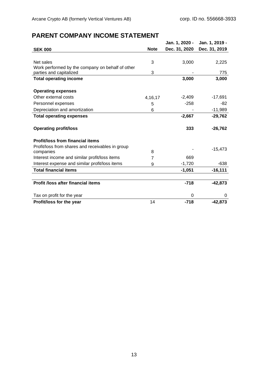# **PARENT COMPANY INCOME STATEMENT**

|                                                               |             | Jan. 1, 2020 - | Jan. 1, 2019 - |
|---------------------------------------------------------------|-------------|----------------|----------------|
| <b>SEK 000</b>                                                | <b>Note</b> | Dec. 31, 2020  | Dec. 31, 2019  |
|                                                               |             |                |                |
| Net sales                                                     | 3           | 3,000          | 2,225          |
| Work performed by the company on behalf of other              |             |                |                |
| parties and capitalized                                       | 3           |                | 775            |
| <b>Total operating income</b>                                 |             | 3,000          | 3,000          |
|                                                               |             |                |                |
| <b>Operating expenses</b>                                     |             |                |                |
| Other external costs                                          | 4, 16, 17   | $-2,409$       | -17,691        |
| Personnel expenses                                            | 5           | $-258$         | -82            |
| Depreciation and amortization                                 | 6           |                | $-11,989$      |
| <b>Total operating expenses</b>                               |             | $-2,667$       | $-29,762$      |
|                                                               |             |                |                |
| <b>Operating profit/loss</b>                                  |             | 333            | $-26,762$      |
|                                                               |             |                |                |
| <b>Profit/loss from financial items</b>                       |             |                |                |
| Profit/loss from shares and receivables in group<br>companies | 8           |                | $-15,473$      |
| Interest income and similar profit/loss items                 | 7           | 669            |                |
| Interest expense and similar profit/loss items                | 9           | $-1,720$       | $-638$         |
| <b>Total financial items</b>                                  |             | $-1,051$       | $-16,111$      |
|                                                               |             |                |                |
| <b>Profit /loss after financial items</b>                     |             | $-718$         | $-42,873$      |
|                                                               |             |                |                |
| Tax on profit for the year                                    |             | 0              | 0              |
| Profit/loss for the year                                      | 14          | $-718$         | $-42,873$      |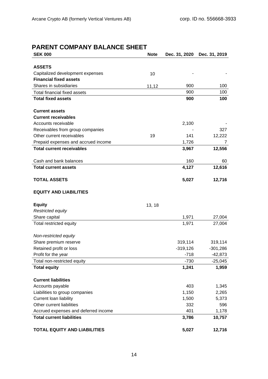# **PARENT COMPANY BALANCE SHEET**

| <b>SEK 000</b>                       | <b>Note</b> | Dec. 31, 2020        | Dec. 31, 2019 |
|--------------------------------------|-------------|----------------------|---------------|
|                                      |             |                      |               |
| <b>ASSETS</b>                        |             |                      |               |
| Capitalized development expenses     | 10          |                      |               |
| <b>Financial fixed assets</b>        |             |                      |               |
| Shares in subsidiaries               | 11,12       | 900                  | 100           |
| Total financial fixed assets         |             | 900                  | 100           |
| <b>Total fixed assets</b>            |             | 900                  | 100           |
| <b>Current assets</b>                |             |                      |               |
| <b>Current receivables</b>           |             |                      |               |
| Accounts receivable                  |             | 2,100                |               |
| Receivables from group companies     |             |                      | 327           |
| Other current receivables            | 19          | 141                  | 12,222        |
| Prepaid expenses and accrued income  |             | 1,726                | 7             |
| <b>Total current receivables</b>     |             | 3,967                | 12,556        |
|                                      |             |                      |               |
| Cash and bank balances               |             | 160                  | 60            |
| <b>Total current assets</b>          |             | 4,127                | 12,616        |
| <b>TOTAL ASSETS</b>                  |             | 5,027                | 12,716        |
| <b>EQUITY AND LIABILITIES</b>        |             |                      |               |
|                                      |             |                      |               |
| <b>Equity</b>                        | 13, 18      |                      |               |
| Restricted equity                    |             |                      |               |
| Share capital                        |             | 1,971                | 27,004        |
| Total restricted equity              |             | 1,971                | 27,004        |
|                                      |             |                      |               |
| Non-restricted equity                |             |                      |               |
| Share premium reserve                |             | 319,114              | 319,114       |
| Retained profit or loss              |             | $-319,126$<br>$-718$ | $-301,286$    |
| Profit for the year                  |             |                      | $-42,873$     |
| Total non-restricted equity          |             | $-730$<br>1,241      | $-25,045$     |
| <b>Total equity</b>                  |             |                      | 1,959         |
| <b>Current liabilities</b>           |             |                      |               |
| Accounts payable                     |             | 403                  | 1,345         |
| Liabilities to group companies       |             | 1,150                | 2,265         |
| Current loan liability               |             | 1,500                | 5,373         |
| Other current liabilities            |             | 332                  | 596           |
| Accrued expenses and deferred income |             | 401                  | 1,178         |
| <b>Total current liabilities</b>     |             | 3,786                | 10,757        |
| <b>TOTAL EQUITY AND LIABILITIES</b>  |             | 5,027                | 12,716        |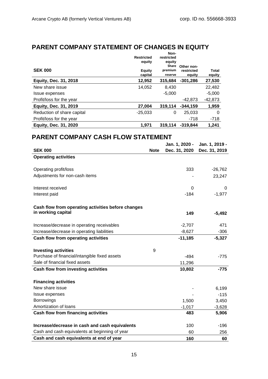# **PARENT COMPANY STATEMENT OF CHANGES IN EQUITY**

| <b>SEK 000</b>               | <b>Restricted</b><br>equity<br>Equity<br>capital | Non-<br>restricted<br>equity<br>Share<br>premium<br>reserve | Other non-<br>restricted<br>equity | <b>Total</b><br>equity |
|------------------------------|--------------------------------------------------|-------------------------------------------------------------|------------------------------------|------------------------|
| <b>Equity, Dec. 31, 2018</b> | 12,952                                           | 315.684                                                     | $-301,286$                         | 27,530                 |
| New share issue              | 14,052                                           | 8,430                                                       |                                    | 22,482                 |
| <b>Issue expenses</b>        |                                                  | $-5,000$                                                    |                                    | $-5,000$               |
| Profit/loss for the year     |                                                  |                                                             | $-42.873$                          | -42,873                |
| <b>Equity, Dec. 31, 2019</b> | 27,004                                           | 319.114                                                     | $-344.159$                         | 1,959                  |
| Reduction of share capital   | $-25,033$                                        | 0                                                           | 25,033                             | $\Omega$               |
| Profit/loss for the year     |                                                  |                                                             | $-718$                             | $-718$                 |
| <b>Equity, Dec. 31, 2020</b> | 1.971                                            | 319.114                                                     | $-319.844$                         | 1,241                  |

# **PARENT COMPANY CASH FLOW STATEMENT**

| <b>SEK 000</b>                                     | <b>Note</b> | Jan. 1, 2020 -<br>Dec. 31, 2020 | Jan. 1, 2019 -<br>Dec. 31, 2019 |
|----------------------------------------------------|-------------|---------------------------------|---------------------------------|
| <b>Operating activities</b>                        |             |                                 |                                 |
|                                                    |             |                                 |                                 |
| Operating profit/loss                              |             | 333                             | $-26,762$                       |
| Adjustments for non-cash items                     |             |                                 | 23,247                          |
| Interest received                                  |             | 0                               | 0                               |
| Interest paid                                      |             | $-184$                          | $-1,977$                        |
| Cash flow from operating activities before changes |             |                                 |                                 |
| in working capital                                 |             | 149                             | $-5,492$                        |
| Increase/decrease in operating receivables         |             | $-2,707$                        | 471                             |
| Increase/decrease in operating liabilities         |             | $-8,627$                        | $-306$                          |
| <b>Cash flow from operating activities</b>         |             | $-11,185$                       | $-5,327$                        |
|                                                    |             |                                 |                                 |
| <b>Investing activities</b>                        | 9           |                                 |                                 |
| Purchase of financial/intangible fixed assets      |             | $-494$                          | $-775$                          |
| Sale of financial fixed assets                     |             | 11,296                          |                                 |
| Cash flow from investing activities                |             | 10,802                          | $-775$                          |
| <b>Financing activities</b>                        |             |                                 |                                 |
| New share issue                                    |             |                                 | 6,199                           |
| Issue expenses                                     |             |                                 | $-115$                          |
| <b>Borrowings</b>                                  |             | 1,500                           | 3,450                           |
| Amortization of loans                              |             | $-1,017$                        | $-3,628$                        |
| <b>Cash flow from financing activities</b>         |             | 483                             | 5,906                           |
| Increase/decrease in cash and cash equivalents     |             | 100                             | $-196$                          |
| Cash and cash equivalents at beginning of year     |             | 60                              | 256                             |
| Cash and cash equivalents at end of year           |             | 160                             | 60                              |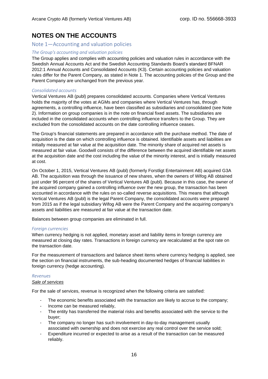# **NOTES ON THE ACCOUNTS**

### Note 1—Accounting and valuation policies

### *The Group's accounting and valuation policies*

The Group applies and complies with accounting policies and valuation rules in accordance with the Swedish Annual Accounts Act and the Swedish Accounting Standards Board's standard BFNAR 2012:1 Annual Accounts and Consolidated Accounts (K3). Certain accounting policies and valuation rules differ for the Parent Company, as stated in Note 1. The accounting policies of the Group and the Parent Company are unchanged from the previous year.

#### *Consolidated accounts*

Vertical Ventures AB (publ) prepares consolidated accounts. Companies where Vertical Ventures holds the majority of the votes at AGMs and companies where Vertical Ventures has, through agreements, a controlling influence, have been classified as subsidiaries and consolidated (see Note 2). Information on group companies is in the note on financial fixed assets. The subsidiaries are included in the consolidated accounts when controlling influence transfers to the Group. They are excluded from the consolidated accounts on the date controlling influence ceases.

The Group's financial statements are prepared in accordance with the purchase method. The date of acquisition is the date on which controlling influence is obtained. Identifiable assets and liabilities are initially measured at fair value at the acquisition date. The minority share of acquired net assets is measured at fair value. Goodwill consists of the difference between the acquired identifiable net assets at the acquisition date and the cost including the value of the minority interest, and is initially measured at cost.

On October 1, 2015, Vertical Ventures AB (publ) (formerly Forstligt Entertainment AB) acquired G3A AB. The acquisition was through the issuance of new shares, when the owners of Wifog AB obtained just under 96 percent of the shares of Vertical Ventures AB (publ). Because in this case, the owner of the acquired company gained a controlling influence over the new group, the transaction has been accounted in accordance with the rules on so-called reverse acquisitions. This means that although Vertical Ventures AB (publ) is the legal Parent Company, the consolidated accounts were prepared from 2015 as if the legal subsidiary Wifog AB were the Parent Company and the acquiring company's assets and liabilities are measured at fair value at the transaction date.

Balances between group companies are eliminated in full.

#### *Foreign currencies*

When currency hedging is not applied, monetary asset and liability items in foreign currency are measured at closing day rates. Transactions in foreign currency are recalculated at the spot rate on the transaction date.

For the measurement of transactions and balance sheet items where currency hedging is applied, see the section on financial instruments, the sub-heading documented hedges of financial liabilities in foreign currency (hedge accounting).

### *Revenues*

#### *Sale of services*

For the sale of services, revenue is recognized when the following criteria are satisfied:

- The economic benefits associated with the transaction are likely to accrue to the company;
- Income can be measured reliably,
- The entity has transferred the material risks and benefits associated with the service to the buyer;
- The company no longer has such involvement in day-to-day management usually associated with ownership and does not exercise any real control over the service sold;
- Expenditure incurred or expected to arise as a result of the transaction can be measured reliably.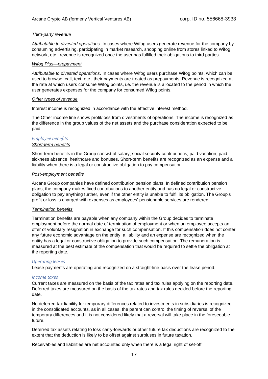#### *Third-party revenue*

*Attributable to divested operations*. In cases where Wifog users generate revenue for the company by consuming advertising, participating in market research, shopping online from stores linked to Wifog network, etc., revenue is recognized once the user has fulfilled their obligations to third parties.

#### *Wifog Plus—prepayment*

*Attributable to divested operations*. In cases where Wifog users purchase Wifog points, which can be used to browse, call, text, etc., their payments are treated as prepayments. Revenue is recognized at the rate at which users consume Wifog points, i.e. the revenue is allocated to the period in which the user generates expenses for the company for consumed Wifog points.

#### *Other types of revenue*

Interest income is recognized in accordance with the effective interest method.

The Other income line shows profit/loss from divestments of operations. The income is recognized as the difference in the group values of the net assets and the purchase consideration expected to be paid.

# *Employee benefits*

#### *Short-term benefits*

Short-term benefits in the Group consist of salary, social security contributions, paid vacation, paid sickness absence, healthcare and bonuses. Short-term benefits are recognized as an expense and a liability when there is a legal or constructive obligation to pay compensation.

#### *Post-employment benefits*

Arcane Group companies have defined contribution pension plans. In defined contribution pension plans, the company makes fixed contributions to another entity and has no legal or constructive obligation to pay anything further, even if the other entity is unable to fulfil its obligation. The Group's profit or loss is charged with expenses as employees' pensionable services are rendered.

#### *Termination benefits*

Termination benefits are payable when any company within the Group decides to terminate employment before the normal date of termination of employment or when an employee accepts an offer of voluntary resignation in exchange for such compensation. If this compensation does not confer any future economic advantage on the entity, a liability and an expense are recognized when the entity has a legal or constructive obligation to provide such compensation. The remuneration is measured at the best estimate of the compensation that would be required to settle the obligation at the reporting date.

#### *Operating leases*

Lease payments are operating and recognized on a straight-line basis over the lease period.

#### *Income taxes*

Current taxes are measured on the basis of the tax rates and tax rules applying on the reporting date. Deferred taxes are measured on the basis of the tax rates and tax rules decided before the reporting date.

No deferred tax liability for temporary differences related to investments in subsidiaries is recognized in the consolidated accounts, as in all cases, the parent can control the timing of reversal of the temporary differences and it is not considered likely that a reversal will take place in the foreseeable future.

Deferred tax assets relating to loss carry-forwards or other future tax deductions are recognized to the extent that the deduction is likely to be offset against surpluses in future taxation.

Receivables and liabilities are net accounted only when there is a legal right of set-off.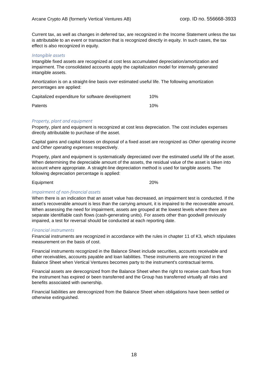Current tax, as well as changes in deferred tax, are recognized in the Income Statement unless the tax is attributable to an event or transaction that is recognized directly in equity. In such cases, the tax effect is also recognized in equity.

#### *Intangible assets*

Intangible fixed assets are recognized at cost less accumulated depreciation/amortization and impairment. The consolidated accounts apply the capitalization model for internally generated intangible assets.

Amortization is on a straight-line basis over estimated useful life. The following amortization percentages are applied:

| Capitalized expenditure for software development | 10% |
|--------------------------------------------------|-----|
| <b>Patents</b>                                   | 10% |

#### *Property, plant and equipment*

Property, plant and equipment is recognized at cost less depreciation. The cost includes expenses directly attributable to purchase of the asset.

Capital gains and capital losses on disposal of a fixed asset are recognized as *Other operating income* and *Other operating expenses* respectively.

Property, plant and equipment is systematically depreciated over the estimated useful life of the asset. When determining the depreciable amount of the assets, the residual value of the asset is taken into account where appropriate. A straight-line depreciation method is used for tangible assets. The following depreciation percentage is applied:

| Equipment | 20% |
|-----------|-----|
|-----------|-----|

### *Impairment of non-financial assets*

When there is an indication that an asset value has decreased, an impairment test is conducted. If the asset's recoverable amount is less than the carrying amount, it is impaired to the recoverable amount. When assessing the need for impairment, assets are grouped at the lowest levels where there are separate identifiable cash flows (cash-generating units). For assets other than goodwill previously impaired, a test for reversal should be conducted at each reporting date.

#### *Financial instruments*

Financial instruments are recognized in accordance with the rules in chapter 11 of K3, which stipulates measurement on the basis of cost.

Financial instruments recognized in the Balance Sheet include securities, accounts receivable and other receivables, accounts payable and loan liabilities. These instruments are recognized in the Balance Sheet when Vertical Ventures becomes party to the instrument's contractual terms.

Financial assets are derecognized from the Balance Sheet when the right to receive cash flows from the instrument has expired or been transferred and the Group has transferred virtually all risks and benefits associated with ownership.

Financial liabilities are derecognized from the Balance Sheet when obligations have been settled or otherwise extinguished.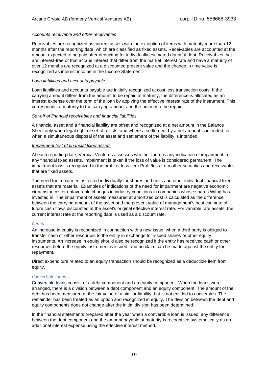#### *Accounts receivable and other receivables*

Receivables are recognized as current assets with the exception of items with maturity more than 12 months after the reporting date, which are classified as fixed assets. Receivables are accounted at the amount expected to be paid after deducting for individually estimated doubtful debt. Receivables that are interest-free or that accrue interest that differ from the market interest rate and have a maturity of over 12 months are recognized at a discounted present value and the change in time value is recognized as interest income in the Income Statement.

#### *Loan liabilities and accounts payable*

Loan liabilities and accounts payable are initially recognized at cost less transaction costs. If the carrying amount differs from the amount to be repaid at maturity, the difference is allocated as an interest expense over the term of the loan by applying the effective interest rate of the instrument. This corresponds at maturity to the carrying amount and the amount to be repaid.

#### *Set-off of financial receivables and financial liabilities*

A financial asset and a financial liability are offset and recognized at a net amount in the Balance Sheet only when legal right of set-off exists, and where a settlement by a net amount is intended, or when a simultaneous disposal of the asset and settlement of the liability is intended.

#### *Impairment test of financial fixed assets*

At each reporting date, Vertical Ventures assesses whether there is any indication of impairment in any financial fixed assets. Impairment is taken if the loss of value is considered permanent. The impairment loss is recognized in the profit or loss item Profit/loss from other securities and receivables that are fixed assets.

The need for impairment is tested individually for shares and units and other individual financial fixed assets that are material. Examples of indications of the need for impairment are negative economic circumstances or unfavorable changes in industry conditions in companies whose shares Wifog has invested in. The impairment of assets measured at amortized cost is calculated as the difference between the carrying amount of the asset and the present value of management's best estimate of future cash flows discounted at the asset's original effective interest rate. For variable rate assets, the current interest rate at the reporting date is used as a discount rate.

#### *Equity*

An increase in equity is recognized in connection with a new issue, when a third party is obliged to transfer cash or other resources to the entity in exchange for issued shares or other equity instruments. An increase in equity should also be recognized if the entity has received cash or other resources before the equity instrument is issued, and no claim can be made against the entity for repayment.

Direct expenditure related to an equity transaction should be recognized as a deductible item from equity.

#### *Convertible loans*

Convertible loans consist of a debt component and an equity component. When the loans were arranged, there is a division between a debt component and an equity component. The amount of the debt has been measured at the fair value of a similar liability that is not entitled to conversion. The remainder has been treated as an option and recognized in equity. The division between the debt and equity components does not change after the initial division has been determined.

In the financial statements prepared after the year when a convertible loan is issued, any difference between the debt component and the amount payable at maturity is recognized systematically as an additional interest expense using the effective interest method.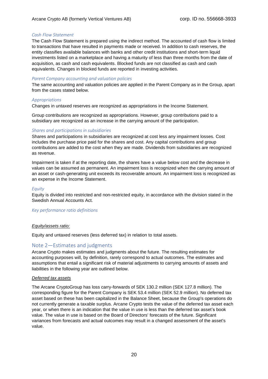#### *Cash Flow Statement*

The Cash Flow Statement is prepared using the indirect method. The accounted of cash flow is limited to transactions that have resulted in payments made or received. In addition to cash reserves, the entity classifies available balances with banks and other credit institutions and short-term liquid investments listed on a marketplace and having a maturity of less than three months from the date of acquisition, as cash and cash equivalents. Blocked funds are not classified as cash and cash equivalents. Changes in blocked funds are reported in investing activities.

#### *Parent Company accounting and valuation policies*

The same accounting and valuation policies are applied in the Parent Company as in the Group, apart from the cases stated below.

#### *Appropriations*

Changes in untaxed reserves are recognized as appropriations in the Income Statement.

Group contributions are recognized as appropriations. However, group contributions paid to a subsidiary are recognized as an increase in the carrying amount of the participation.

#### *Shares and participations in subsidiaries*

Shares and participations in subsidiaries are recognized at cost less any impairment losses. Cost includes the purchase price paid for the shares and cost. Any capital contributions and group contributions are added to the cost when they are made. Dividends from subsidiaries are recognized as revenue.

Impairment is taken if at the reporting date, the shares have a value below cost and the decrease in values can be assumed as permanent. An impairment loss is recognized when the carrying amount of an asset or cash-generating unit exceeds its recoverable amount. An impairment loss is recognized as an expense in the Income Statement.

#### *Equity*

Equity is divided into restricted and non-restricted equity, in accordance with the division stated in the Swedish Annual Accounts Act.

#### *Key performance ratio definitions*

#### *Equity/assets ratio:*

Equity and untaxed reserves (less deferred tax) in relation to total assets.

#### Note 2—Estimates and judgments

Arcane Crypto makes estimates and judgments about the future. The resulting estimates for accounting purposes will, by definition, rarely correspond to actual outcomes. The estimates and assumptions that entail a significant risk of material adjustments to carrying amounts of assets and liabilities in the following year are outlined below.

#### *Deferred tax assets*

The Arcane CryptoGroup has loss carry-forwards of SEK 130.2 million (SEK 127.8 million). The corresponding figure for the Parent Company is SEK 53.4 million (SEK 52.9 million). No deferred tax asset based on these has been capitalized in the Balance Sheet, because the Group's operations do not currently generate a taxable surplus. Arcane Crypto tests the value of the deferred tax asset each year, or when there is an indication that the value in use is less than the deferred tax asset's book value. The value in use is based on the Board of Directors' forecasts of the future. Significant variances from forecasts and actual outcomes may result in a changed assessment of the asset's value.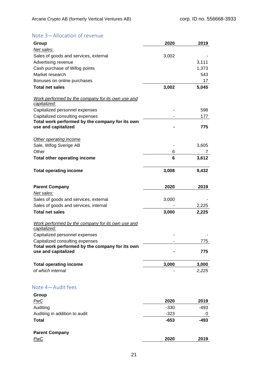# Note 3—Allocation of revenue

| Group                                                                              | 2020   | 2019   |
|------------------------------------------------------------------------------------|--------|--------|
| Net sales:                                                                         |        |        |
| Sales of goods and services, external                                              | 3,002  |        |
| Advertising revenue                                                                |        | 3,111  |
| Cash purchase of Wifog points                                                      |        | 1,373  |
| Market research                                                                    |        | 543    |
| Bonuses on online purchases                                                        |        | 17     |
| <b>Total net sales</b>                                                             | 3,002  | 5,045  |
| Work performed by the company for its own use and                                  |        |        |
| capitalized:                                                                       |        |        |
| Capitalized personnel expenses                                                     |        | 598    |
| Capitalized consulting expenses                                                    |        | 177    |
| Total work performed by the company for its own<br>use and capitalized             |        | 775    |
| Other operating income                                                             |        |        |
| Sale, Wifog Sverige AB                                                             |        | 3,605  |
| Other                                                                              | 6      |        |
| <b>Total other operating income</b>                                                | 6      | 3,612  |
| <b>Total operating income</b>                                                      | 3,008  | 9,432  |
| <b>Parent Company</b>                                                              | 2020   | 2019   |
| Net sales:                                                                         |        |        |
| Sales of goods and services, external                                              | 3,000  |        |
| Sales of goods and services, internal                                              |        | 2,225  |
| <b>Total net sales</b>                                                             | 3,000  | 2,225  |
| Work performed by the company for its own use and                                  |        |        |
| capitalized:                                                                       |        |        |
| Capitalized personnel expenses                                                     |        | 775    |
| Capitalized consulting expenses<br>Total work performed by the company for its own |        |        |
| use and capitalized                                                                |        | 775    |
| <b>Total operating income</b>                                                      | 3,000  | 3,000  |
| of which internal                                                                  |        | 2,225  |
| Note 4-Audit fees                                                                  |        |        |
| Group                                                                              |        |        |
| PwC                                                                                | 2020   | 2019   |
| Auditing                                                                           | $-330$ | $-493$ |
| Auditing in addition to audit                                                      | $-323$ | 0      |
| <b>Total</b>                                                                       | $-653$ | $-493$ |
| <b>Parent Company</b>                                                              |        |        |
| PwC                                                                                | 2020   | 2019   |
|                                                                                    |        |        |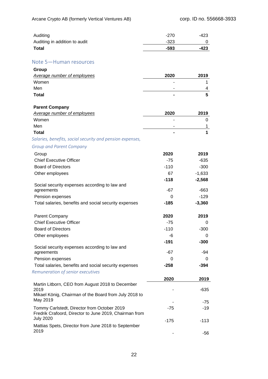| Auditing                      | $-270$ | -423 |
|-------------------------------|--------|------|
| Auditing in addition to audit | $-323$ |      |
| <b>Total</b>                  | -593   | -423 |

### Note 5—Human resources

| Group                       |      |      |
|-----------------------------|------|------|
| Average number of employees | 2020 | 2019 |
| Women                       | ۰    |      |
| Men                         | -    |      |
| <b>Total</b>                | ٠    |      |

#### **Parent Company**

| Average number of employees | 2020           | 2019 |
|-----------------------------|----------------|------|
| Women                       | -              |      |
| Men                         | ۰              |      |
| <b>Total</b>                | $\blacksquare$ |      |

### *Salaries, benefits, social security and pension expenses,*

### *Group and Parent Company*

| Group                                                                                                 | 2020     | 2019     |
|-------------------------------------------------------------------------------------------------------|----------|----------|
| <b>Chief Executive Officer</b>                                                                        | $-75$    | $-635$   |
| <b>Board of Directors</b>                                                                             | $-110$   | $-300$   |
| Other employees                                                                                       | 67       | $-1,633$ |
|                                                                                                       | $-118$   | $-2,568$ |
| Social security expenses according to law and                                                         |          |          |
| agreements                                                                                            | $-67$    | $-663$   |
| Pension expenses                                                                                      | 0        | $-129$   |
| Total salaries, benefits and social security expenses                                                 | $-185$   | $-3,360$ |
| <b>Parent Company</b>                                                                                 | 2020     | 2019     |
| <b>Chief Executive Officer</b>                                                                        | $-75$    | 0        |
| <b>Board of Directors</b>                                                                             | $-110$   | $-300$   |
| Other employees                                                                                       | -6       | 0        |
|                                                                                                       | $-191$   | $-300$   |
| Social security expenses according to law and                                                         |          |          |
| agreements                                                                                            | $-67$    | -94      |
| Pension expenses                                                                                      | $\Omega$ | 0        |
| Total salaries, benefits and social security expenses                                                 | $-258$   | $-394$   |
| Remuneration of senior executives                                                                     |          |          |
|                                                                                                       | 2020     | 2019     |
| Martin Litborn, CEO from August 2018 to December                                                      |          |          |
| 2019<br>Mikael König, Chairman of the Board from July 2018 to                                         |          | $-635$   |
| May 2019                                                                                              |          |          |
|                                                                                                       |          | $-75$    |
| Tommy Carlstedt, Director from October 2019<br>Fredrik Crafoord, Director to June 2019, Chairman from | $-75$    | $-19$    |
| <b>July 2020</b>                                                                                      | $-175$   |          |
| Mattias Spets, Director from June 2018 to September                                                   |          | $-113$   |
| 2019                                                                                                  |          | $-56$    |
|                                                                                                       |          |          |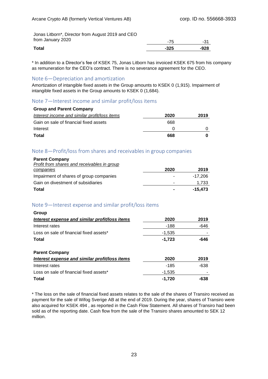Jonas Litborn\*, Director from August 2019 and CEO from January 2020

| ifum January 2020 | 75<br>ж. | 04<br>- 3. |
|-------------------|----------|------------|
| Total             | $-325$   | $-928$     |
|                   |          |            |

\* In addition to a Director's fee of KSEK 75, Jonas Litborn has invoiced KSEK 675 from his company as remuneration for the CEO's contract. There is no severance agreement for the CEO.

#### Note 6—Depreciation and amortization

Amortization of intangible fixed assets in the Group amounts to KSEK 0 (1,915). Impairment of intangible fixed assets in the Group amounts to KSEK 0 (1,684).

### Note 7—Interest income and similar profit/loss items

| <b>Group and Parent Company</b>               |              |      |
|-----------------------------------------------|--------------|------|
| Interest income and similar profit/loss items | 2020         | 2019 |
| Gain on sale of financial fixed assets        | 668          |      |
| Interest                                      | $\mathbf{0}$ |      |
| Total                                         | 668          |      |

### Note 8—Profit/loss from shares and receivables in group companies

| <b>Parent Company</b>                       |      |         |
|---------------------------------------------|------|---------|
| Profit from shares and receivables in group |      |         |
| companies                                   | 2020 | 2019    |
| Impairment of shares of group companies     | ۰    | -17.206 |
| Gain on divestment of subsidiaries          | -    | 1,733   |
| Total                                       |      | -15.473 |

### Note 9—Interest expense and similar profit/loss items

| Group                                          |          |        |
|------------------------------------------------|----------|--------|
| Interest expense and similar profit/loss items | 2020     | 2019   |
| Interest rates                                 | -188     | -646   |
| Loss on sale of financial fixed assets*        | $-1,535$ |        |
| Total                                          | $-1,723$ | -646   |
| <b>Parent Company</b>                          |          |        |
| Interest expense and similar profit/loss items | 2020     | 2019   |
| Interest rates                                 | -185     | $-638$ |
| Loss on sale of financial fixed assets*        | $-1,535$ |        |
| Total                                          | -1.720   |        |

\* The loss on the sale of financial fixed assets relates to the sale of the shares of Transiro received as payment for the sale of Wifog Sverige AB at the end of 2019. During the year, shares of Transiro were also acquired for KSEK 494 , as reported in the Cash Flow Statement. All shares of Transiro had been sold as of the reporting date. Cash flow from the sale of the Transiro shares amounted to SEK 12 million.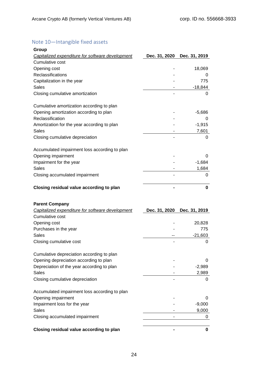# Note 10—Intangible fixed assets

| Group                                                                     |               |               |
|---------------------------------------------------------------------------|---------------|---------------|
| Capitalized expenditure for software development                          | Dec. 31, 2020 | Dec. 31, 2019 |
| Cumulative cost                                                           |               |               |
| Opening cost                                                              |               | 18,069        |
| Reclassifications                                                         |               | 0             |
| Capitalization in the year                                                |               | 775           |
| <b>Sales</b>                                                              |               | $-18,844$     |
| Closing cumulative amortization                                           |               | 0             |
| Cumulative amortization according to plan                                 |               |               |
| Opening amortization according to plan                                    |               | $-5,686$      |
| Reclassification                                                          |               | 0             |
| Amortization for the year according to plan                               |               | $-1,915$      |
| <b>Sales</b>                                                              |               | 7,601         |
| Closing cumulative depreciation                                           |               | 0             |
| Accumulated impairment loss according to plan                             |               |               |
| Opening impairment                                                        |               | 0             |
| Impairment for the year                                                   |               | $-1,684$      |
| <b>Sales</b>                                                              |               | 1,684         |
| Closing accumulated impairment                                            |               | 0             |
| Closing residual value according to plan                                  |               | $\bf{0}$      |
|                                                                           |               |               |
|                                                                           |               |               |
| <b>Parent Company</b><br>Capitalized expenditure for software development | Dec. 31, 2020 | Dec. 31, 2019 |
| Cumulative cost                                                           |               |               |
| Opening cost                                                              |               | 20,828        |
| Purchases in the year                                                     |               | 775           |
| Sales                                                                     |               | $-21,603$     |
| Closing cumulative cost                                                   |               | 0             |
| Cumulative depreciation according to plan                                 |               |               |
| Opening depreciation according to plan                                    |               | 0             |
| Depreciation of the year according to plan                                |               | $-2,989$      |
| Sales                                                                     |               | 2,989         |
| Closing cumulative depreciation                                           |               | 0             |
| Accumulated impairment loss according to plan                             |               |               |
| Opening impairment                                                        |               | 0             |
| Impairment loss for the year                                              |               | $-9,000$      |
| <b>Sales</b>                                                              |               | 9,000         |
| Closing accumulated impairment                                            |               | 0             |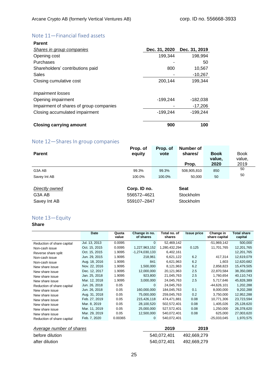# Note 11—Financial fixed assets

| Parent                                  |               |               |
|-----------------------------------------|---------------|---------------|
| <b>Shares in group companies</b>        | Dec. 31, 2020 | Dec. 31, 2019 |
| Opening cost                            | 199,344       | 198,994       |
| Purchases                               |               | 50            |
| Shareholders' contributions paid        | 800           | 10,567        |
| Sales                                   |               | $-10,267$     |
| Closing cumulative cost                 | 200,144       | 199,344       |
| <i>Impairment losses</i>                |               |               |
| Opening impairment                      | $-199,244$    | $-182,038$    |
| Impairment of shares of group companies |               | $-17,206$     |
| Closing accumulated impairment          | $-199,244$    | $-199,244$    |
| <b>Closing carrying amount</b>          | 900           | 100           |

## Note 12—Shares In group companies

|                | Prop. of     | Prop. of | Number of   |             |             |
|----------------|--------------|----------|-------------|-------------|-------------|
| <b>Parent</b>  | equity       | vote     | shares/     | <b>Book</b> | <b>Book</b> |
|                |              |          |             | value,      | value,      |
|                |              |          | Prop.       | 2020        | 2019        |
| G3A AB         | 99.3%        | 99.3%    | 508,905,810 | 850         | 50          |
| Savey Int AB   | 100.0%       | 100.0%   | 50.000      | 50          | 50          |
|                |              |          |             |             |             |
| Directly owned | Corp. ID no. |          | <b>Seat</b> |             |             |
| G3A AB         | 556572-4621  |          | Stockholm   |             |             |
| Savey Int AB   | 559107-2847  |          | Stockholm   |             |             |

### Note 13—Equity

### **Share**

|                            | Date          | Quota<br>value | Change in no.<br>of shares | Total no. of<br>shares | <b>Issue price</b> | Change in<br>share capital | <b>Total share</b><br>capital |
|----------------------------|---------------|----------------|----------------------------|------------------------|--------------------|----------------------------|-------------------------------|
| Reduction of share capital | Jul. 13, 2013 | 0.0095         | $\Omega$                   | 52,469,142             |                    | $-51,969,142$              | 500,000                       |
| Non-cash issue             | Oct. 15, 2015 | 0.0095         | 1,227,963,152              | 1,280,432,294          | 0.125              | 11,701,765                 | 12,201,765                    |
| Reverse share split        | Oct. 15, 2015 | 1.9095         | $-1,274,030,133$           | 6,402,161              |                    |                            | 12,201,765                    |
| Non-cash issue             | Jun. 29, 2015 | 1.9095         | 218,961                    | 6,621,122              | 6.2                | 417,314                    | 12,619,079                    |
| Non-cash issue             | Aug. 18, 2016 | 1.9095         | 841                        | 6,621,963              | 6.2                | 1,603                      | 12,620,682                    |
| New share issue            | Nov. 22, 2016 | 1.9095         | 1,500,000                  | 8,121,963              | 6.2                | 2,858,823                  | 15,479,505                    |
| New share issue            | Dec. 12, 2017 | 1.9095         | 12,000,000                 | 20,121,963             | 2.5                | 22,870,584                 | 38,350,089                    |
| New share issue            | Jan. 25, 2018 | 1.9095         | 923,800                    | 21,045,763             | 2.5                | 1,760,654                  | 40,110,743                    |
| New share issue            | Mar. 12, 2018 | 1.9095         | 3,000,000                  | 24,045,763             | 2.5                | 5,717,646                  | 45,828,389                    |
| Reduction of share capital | Jun. 26, 2018 | 0.05           | $\Omega$                   | 24,045,763             |                    | $-44,626,101$              | 1,202,288                     |
| New share issue            | Jun. 26, 2018 | 0.05           | 160,000,000                | 184,045,763            | 0.1                | 8,000,000                  | 9,202,288                     |
| New share issue            | Aug. 31, 2018 | 0.05           | 75,000,000                 | 259,045,763            | 0.2                | 3,750,000                  | 12,952,288                    |
| New share issue            | Feb. 27, 2019 | 0.05           | 215,426,118                | 474,471,881            | 0.08               | 10,771,306                 | 23,723,594                    |
| New share issue            | Mar. 8, 2019  | 0.05           | 28,100,520                 | 502,572,401            | 0.08               | 1,405,026                  | 25,128,620                    |
| New share issue            | Mar. 11, 2019 | 0.05           | 25,000,000                 | 527,572,401            | 0.08               | 1,250,000                  | 26,378,620                    |
| New share issue            | Mar. 29, 2019 | 0.05           | 12,500,000                 | 540,072,401            | 0.08               | 625,000                    | 27,003,620                    |
| Reduction of share capital | Feb. 7, 2020  | 0.00365        | $\mathbf{0}$               | 540,072,401            |                    | $-25,033,045$              | 1,970,575                     |

| <b>Average number of shares</b> | 2019        | 2019        |
|---------------------------------|-------------|-------------|
| before dilution                 | 540.072.401 | 492.669.279 |
| after dilution                  | 540.072.401 | 492.669.279 |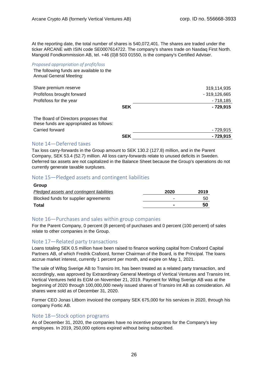At the reporting date, the total number of shares is 540,072,401. The shares are traded under the ticker ARCANE with ISIN code SE0007614722. The company's shares trade on Nasdaq First North. Mangold Fondkommission AB, tel. +46 (0)8 503 01550, is the company's Certified Adviser.

#### *Proposed appropriation of profit/loss*

The following funds are available to the Annual General Meeting:

| Share premium reserve                                                            |            | 319,114,935    |
|----------------------------------------------------------------------------------|------------|----------------|
| Profit/loss brought forward                                                      |            | $-319,126,665$ |
| Profit/loss for the year                                                         |            | $-718,185$     |
|                                                                                  | <b>SEK</b> | - 729,915      |
| The Board of Directors proposes that<br>these funds are appropriated as follows: |            |                |
| Carried forward                                                                  |            | - 729,915      |
|                                                                                  | <b>SEK</b> | - 729,915      |
| Note 14 – Deferred taxes                                                         |            |                |

### Note 14—Deferred taxes

Tax loss carry-forwards in the Group amount to SEK 130.2 (127.8) million, and in the Parent Company, SEK 53.4 (52.7) million. All loss carry-forwards relate to unused deficits in Sweden. Deferred tax assets are not capitalized in the Balance Sheet because the Group's operations do not currently generate taxable surpluses.

### Note 15—Pledged assets and contingent liabilities

| 2020                     | 2019 |
|--------------------------|------|
| -                        | 50   |
| $\overline{\phantom{a}}$ | 50   |
|                          |      |

### Note 16—Purchases and sales within group companies

For the Parent Company, 0 percent (8 percent) of purchases and 0 percent (100 percent) of sales relate to other companies in the Group.

### Note 17—Related party transactions

Loans totaling SEK 0.5 million have been raised to finance working capital from Crafoord Capital Partners AB, of which Fredrik Crafoord, former Chairman of the Board, is the Principal. The loans accrue market interest, currently 1 percent per month, and expire on May 1, 2021.

The sale of Wifog Sverige AB to Transiro Int. has been treated as a related party transaction, and accordingly, was approved by Extraordinary General Meetings of Vertical Ventures and Transiro Int. Vertical Ventures held its EGM on November 21, 2019. Payment for Wifog Sverige AB was at the beginning of 2020 through 100,000,000 newly issued shares of Transiro Int AB as consideration. All shares were sold as of December 31, 2020.

Former CEO Jonas Litborn invoiced the company SEK 675,000 for his services in 2020, through his company Fortic AB.

#### Note 18—Stock option programs

As of December 31, 2020, the companies have no incentive programs for the Company's key employees. In 2019, 250,000 options expired without being subscribed.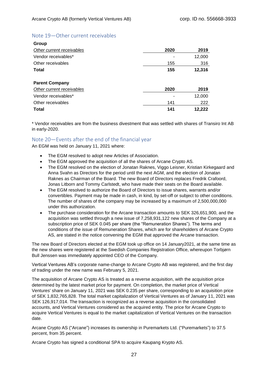### Note 19—Other current receivables

| Group                     |      |        |
|---------------------------|------|--------|
| Other current receivables | 2020 | 2019   |
| Vendor receivables*       |      | 12,000 |
| Other receivables         | 155  | 316    |
| <b>Total</b>              | 155  | 12,316 |
| <b>Parent Company</b>     |      |        |
| Other current receivables | 2020 | 2019   |
| Vendor receivables*       |      | 12,000 |
| Other receivables         | 141  | 222    |
| Total                     | 141  | 12,222 |

\* Vendor receivables are from the business divestment that was settled with shares of Transiro Int AB in early-2020.

### Note 20—Events after the end of the financial year

An EGM was held on January 11, 2021 where:

- The EGM resolved to adopt new Articles of Association.
- The EGM approved the acquisition of all the shares of Arcane Crypto AS.
- The EGM resolved on the election of Jonatan Raknes, Viggo Leisner, Kristian Kirkegaard and Anna Svahn as Directors for the period until the next AGM, and the election of Jonatan Raknes as Chairman of the Board. The new Board of Directors replaces Fredrik Crafoord, Jonas Litborn and Tommy Carlstedt, who have made their seats on the Board available.
- The EGM resolved to authorize the Board of Directors to issue shares, warrants and/or convertibles. Payment may be made in cash, in kind, by set-off or subject to other conditions. The number of shares of the company may be increased by a maximum of 2,500,000,000 under this authorization.
- The purchase consideration for the Arcane transaction amounts to SEK 326,651,900, and the acquisition was settled through a new issue of 7,258,931,122 new shares of the Company at a subscription price of SEK 0.045 per share (the "Remuneration Shares"). The terms and conditions of the issue of Remuneration Shares, which are for shareholders of Arcane Crypto AS, are stated in the notice convening the EGM that approved the Arcane transaction.

The new Board of Directors elected at the EGM took up office on 14 January2021, at the same time as the new shares were registered at the Swedish Companies Registration Office, whereupon Torbjørn Bull Jenssen was immediately appointed CEO of the Company.

Vertical Ventures AB's corporate name-change to Arcane Crypto AB was registered, and the first day of trading under the new name was February 5, 2021.

The acquisition of Arcane Crypto AS is treated as a reverse acquisition, with the acquisition price determined by the latest market price for payment. On completion, the market price of Vertical Ventures' share on January 11, 2021 was SEK 0.235 per share, corresponding to an acquisition price of SEK 1,832,765,828. The total market capitalization of Vertical Ventures as of January 11, 2021 was SEK 126,917,014. The transaction is recognized as a reverse acquisition in the consolidated accounts, and Vertical Ventures considered as the acquired entity. The price for Arcane Crypto to acquire Vertical Ventures is equal to the market capitalization of Vertical Ventures on the transaction date.

Arcane Crypto AS ("Arcane") increases its ownership in Puremarkets Ltd. ("Puremarkets") to 37.5 percent, from 35 percent.

Arcane Crypto has signed a conditional SPA to acquire Kaupang Krypto AS.